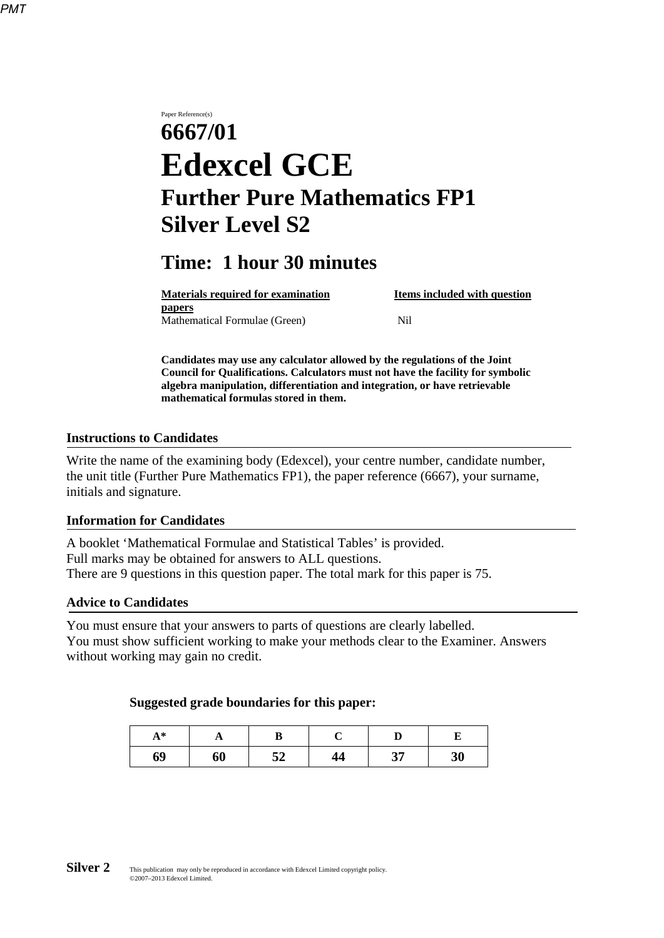Paper Reference(s) **6667/01 Edexcel GCE Further Pure Mathematics FP1 Silver Level S2** 

# **Time: 1 hour 30 minutes**

| <b>Materials required for examination</b> | Items included with question |
|-------------------------------------------|------------------------------|
| <b>papers</b>                             |                              |
| Mathematical Formulae (Green)             | Nil                          |

**Candidates may use any calculator allowed by the regulations of the Joint Council for Qualifications. Calculators must not have the facility for symbolic algebra manipulation, differentiation and integration, or have retrievable mathematical formulas stored in them.**

## **Instructions to Candidates**

Write the name of the examining body (Edexcel), your centre number, candidate number, the unit title (Further Pure Mathematics FP1), the paper reference (6667), your surname, initials and signature.

#### **Information for Candidates**

A booklet 'Mathematical Formulae and Statistical Tables' is provided. Full marks may be obtained for answers to ALL questions. There are 9 questions in this question paper. The total mark for this paper is 75.

#### **Advice to Candidates**

You must ensure that your answers to parts of questions are clearly labelled. You must show sufficient working to make your methods clear to the Examiner. Answers without working may gain no credit.

#### **Suggested grade boundaries for this paper:**

| $A^*$ | A  |    |    |    |    |
|-------|----|----|----|----|----|
| 69    | 60 | 52 | 44 | 37 | 30 |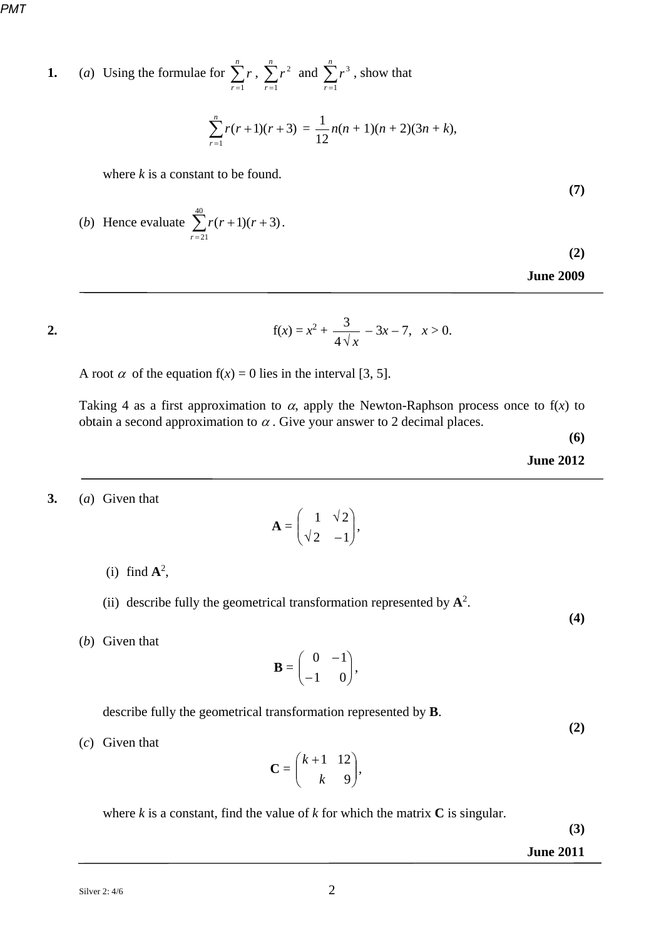**1.** (*a*) Using the formulae for 
$$
\sum_{r=1}^{n} r
$$
,  $\sum_{r=1}^{n} r^2$  and  $\sum_{r=1}^{n} r^3$ , show that

$$
\sum_{r=1}^{n} r(r+1)(r+3) = \frac{1}{12} n(n+1)(n+2)(3n+k),
$$

where *k* is a constant to be found.

(b) Hence evaluate 
$$
\sum_{r=21}^{40} r(r+1)(r+3)
$$
.

**(2)**

**(7)** 

**June 2009** 

$$
\overline{a}
$$

2. 
$$
f(x) = x^2 + \frac{3}{4\sqrt{x}} - 3x - 7, \quad x > 0.
$$

A root  $\alpha$  of the equation  $f(x) = 0$  lies in the interval [3, 5].

Taking 4 as a first approximation to  $\alpha$ , apply the Newton-Raphson process once to f(x) to obtain a second approximation to  $\alpha$ . Give your answer to 2 decimal places.

**(6)**

**June 2012**

#### **3.** (*a*) Given that

$$
\mathbf{A} = \begin{pmatrix} 1 & \sqrt{2} \\ \sqrt{2} & -1 \end{pmatrix},
$$

- (i) find  $\mathbf{A}^2$ ,
- (ii) describe fully the geometrical transformation represented by  $A^2$ .
- (*b*) Given that

$$
\mathbf{B} = \begin{pmatrix} 0 & -1 \\ -1 & 0 \end{pmatrix},
$$

describe fully the geometrical transformation represented by **B**.

**(2)** 

(*c*) Given that

$$
\mathbf{C} = \begin{pmatrix} k+1 & 12 \\ k & 9 \end{pmatrix},
$$

where  $k$  is a constant, find the value of  $k$  for which the matrix  $C$  is singular.

**(3)** 

### **June 2011**

**(4)**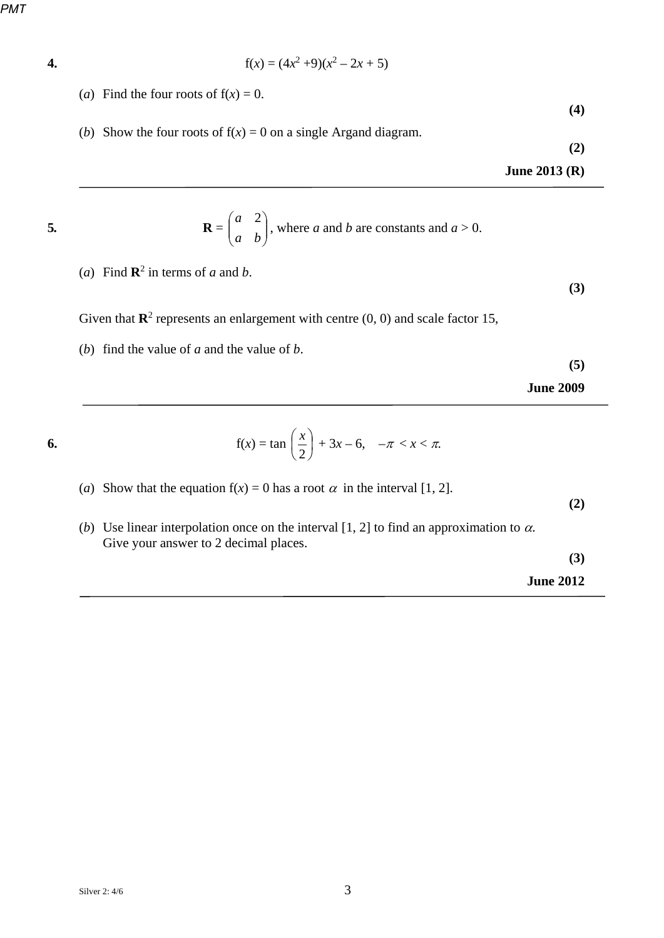4. 
$$
f(x) = (4x^2 + 9)(x^2 - 2x + 5)
$$

- (*a*) Find the four roots of  $f(x) = 0$ .
- (*b*) Show the four roots of  $f(x) = 0$  on a single Argand diagram.

**(2)**

**(4)** 

**June 2013 (R)**

5. 
$$
\mathbf{R} = \begin{pmatrix} a & 2 \\ a & b \end{pmatrix}
$$
, where *a* and *b* are constants and *a* > 0.

(*a*) Find  $\mathbb{R}^2$  in terms of *a* and *b*.

**(3)** 

- Given that  $\mathbb{R}^2$  represents an enlargement with centre  $(0, 0)$  and scale factor 15,
- (*b*) find the value of *a* and the value of *b*.

**(5)**

**June 2009** 

6. 
$$
f(x) = \tan\left(\frac{x}{2}\right) + 3x - 6, \quad -\pi < x < \pi.
$$

- (*a*) Show that the equation  $f(x) = 0$  has a root  $\alpha$  in the interval [1, 2].
- (*b*) Use linear interpolation once on the interval [1, 2] to find an approximation to  $\alpha$ . Give your answer to 2 decimal places.

**(3)** 

**(2)** 

**June 2012**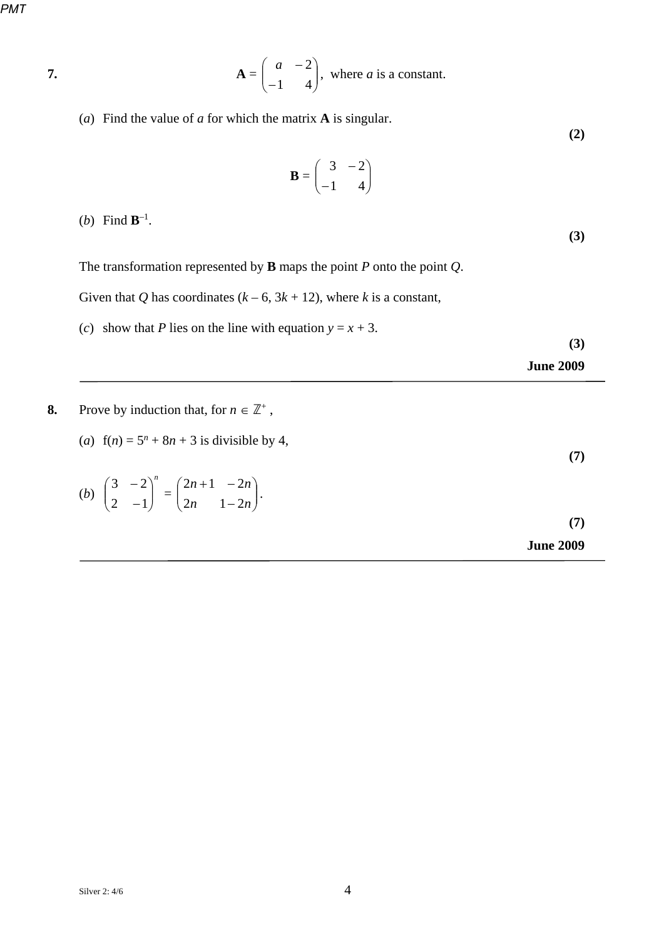$$
\mathbf{7.}
$$

7. 
$$
\mathbf{A} = \begin{pmatrix} a & -2 \\ -1 & 4 \end{pmatrix}, \text{ where } a \text{ is a constant.}
$$

(*a*) Find the value of *a* for which the matrix **A** is singular.

**(2)** 

$$
\mathbf{B} = \begin{pmatrix} 3 & -2 \\ -1 & 4 \end{pmatrix}
$$

(*b*) Find  $\mathbf{B}^{-1}$ .

**(3)** 

The transformation represented by **B** maps the point *P* onto the point *Q*.

Given that *Q* has coordinates  $(k - 6, 3k + 12)$ , where *k* is a constant,

(*c*) show that *P* lies on the line with equation  $y = x + 3$ .

**(3)**

**(7)** 

**June 2009** 

- **8.** Prove by induction that, for  $n \in \mathbb{Z}^+$ ,
	- (*a*)  $f(n) = 5^n + 8n + 3$  is divisible by 4,

(b) 
$$
\begin{pmatrix} 3 & -2 \\ 2 & -1 \end{pmatrix}^n = \begin{pmatrix} 2n+1 & -2n \\ 2n & 1-2n \end{pmatrix}
$$
 (7)  
June 2009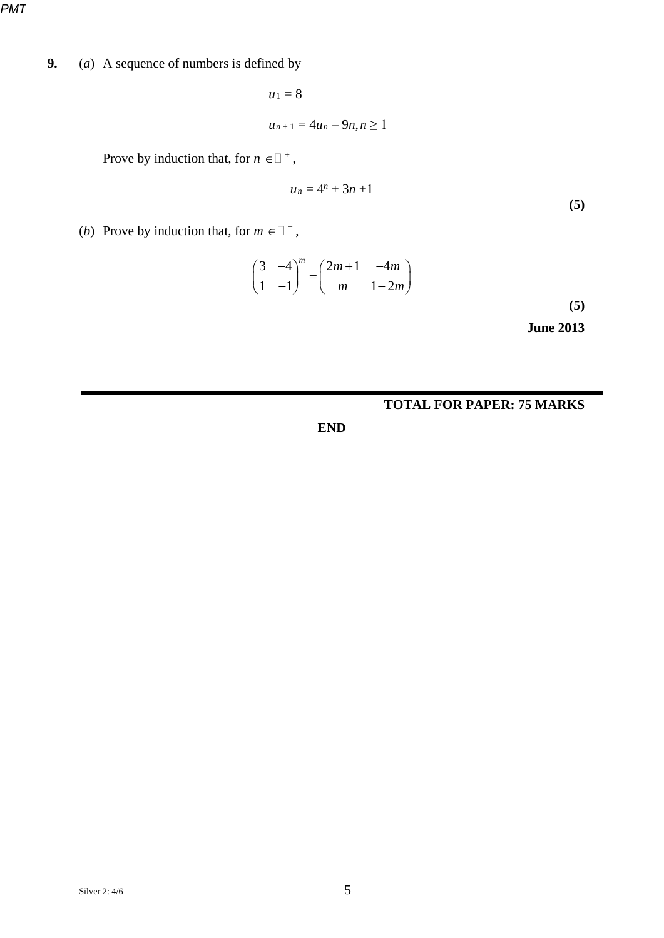**9.** (*a*) A sequence of numbers is defined by

 $u_1 = 8$  $u_{n+1} = 4u_n - 9n, n \ge 1$ 

Prove by induction that, for  $n \in \square^+$ ,

$$
u_n = 4^n + 3n + 1 \tag{5}
$$

(*b*) Prove by induction that, for  $m \in \mathbb{I}^+$ ,

$$
\begin{pmatrix} 3 & -4 \\ 1 & -1 \end{pmatrix}^{m} = \begin{pmatrix} 2m+1 & -4m \\ m & 1-2m \end{pmatrix}
$$
 (5)

**June 2013**

## **TOTAL FOR PAPER: 75 MARKS**

**END**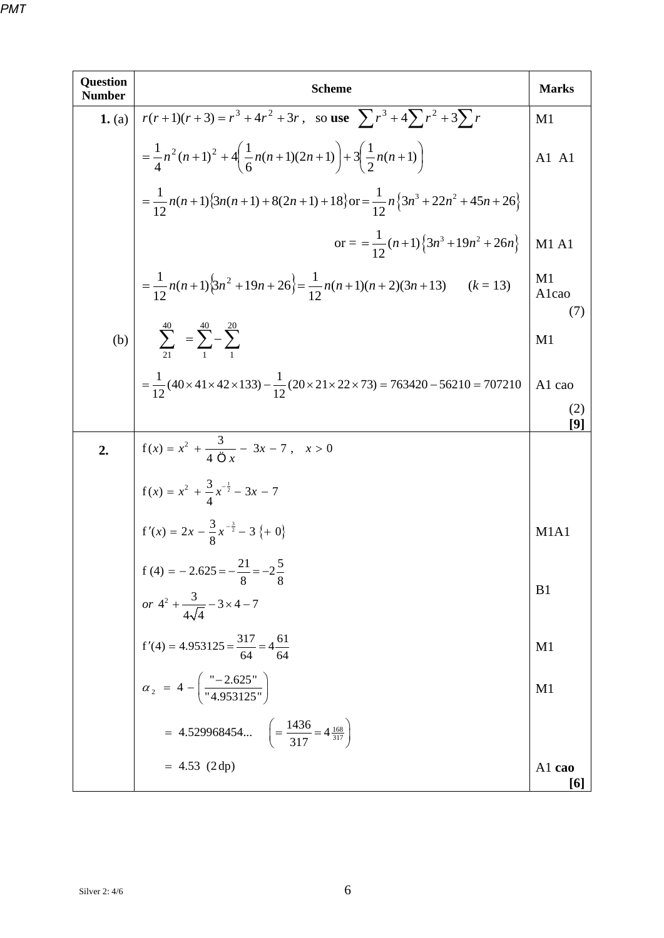| <b>Question</b><br><b>Number</b> | <b>Scheme</b>                                                                                                       | <b>Marks</b>                  |
|----------------------------------|---------------------------------------------------------------------------------------------------------------------|-------------------------------|
| 1. (a)                           | $r(r+1)(r+3) = r^3 + 4r^2 + 3r$ , so use $\sum r^3 + 4\sum r^2 + 3\sum r$                                           | M1                            |
|                                  | $=\frac{1}{4}n^2(n+1)^2+4\left(\frac{1}{6}n(n+1)(2n+1)\right)+3\left(\frac{1}{2}n(n+1)\right)$                      | A1 A1                         |
|                                  | $=\frac{1}{12}n(n+1){3n(n+1)+8(2n+1)+18}\}$ or $=\frac{1}{12}n{3n^3+22n^2+45n+26}$                                  |                               |
|                                  | or = $=\frac{1}{12}(n+1)\left\{3n^3+19n^2+26n\right\}$                                                              | <b>M1 A1</b>                  |
|                                  | = $\frac{1}{12}n(n+1){3n^2 + 19n + 26}$ = $\frac{1}{12}n(n+1)(n+2)(3n+13)$ (k = 13)                                 | M1<br>Alcao<br>(7)            |
|                                  | (b) $\sum_{21}^{40} = \sum_{1}^{40} - \sum_{1}^{20}$                                                                | M1                            |
|                                  | $=\frac{1}{12}(40\times41\times42\times133)-\frac{1}{12}(20\times21\times22\times73)=763420-56210=707210$           | A1 cao                        |
|                                  |                                                                                                                     | (2)<br>[9]                    |
| 2.                               | $f(x) = x^2 + \frac{3}{4 \overline{\mathcal{O}} x} - 3x - 7, \quad x > 0$                                           |                               |
|                                  | $f(x) = x^2 + \frac{3}{4}x^{-\frac{1}{2}} - 3x - 7$                                                                 |                               |
|                                  | $f'(x) = 2x - \frac{3}{8}x^{-\frac{3}{2}} - 3\{ +0\}$                                                               | M <sub>1</sub> A <sub>1</sub> |
|                                  | f (4) = -2.625 = $-\frac{21}{8}$ = $-2\frac{5}{8}$<br>or $4^2 + \frac{3}{4\sqrt{4}} - 3 \times 4 - 7$               | B <sub>1</sub>                |
|                                  |                                                                                                                     |                               |
|                                  | f'(4) = 4.953125 = $\frac{317}{64}$ = 4 $\frac{61}{64}$<br>$\alpha_2$ = 4 - $\left(\frac{92.625}{14.953125}\right)$ | M1                            |
|                                  |                                                                                                                     | M1                            |
|                                  | = 4.529968454 $\left(=\frac{1436}{317} = 4\frac{168}{317}\right)$                                                   |                               |
|                                  | $= 4.53$ (2 dp)                                                                                                     | A1 cao<br>[6]                 |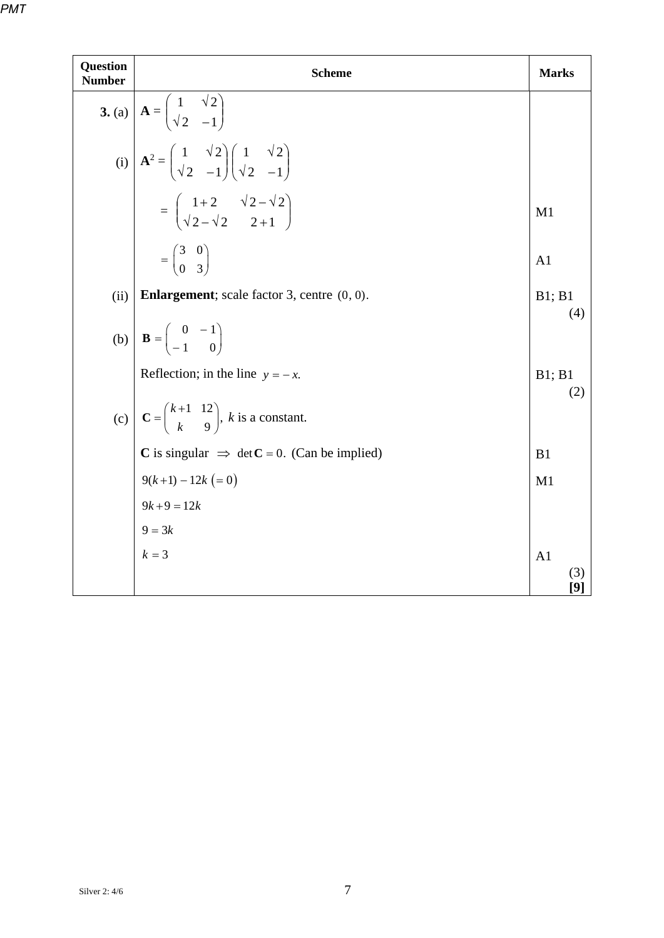| Question<br><b>Number</b> | <b>Scheme</b>                                                                                                                                | <b>Marks</b>   |  |  |  |  |  |
|---------------------------|----------------------------------------------------------------------------------------------------------------------------------------------|----------------|--|--|--|--|--|
|                           | 3. (a) $\mathbf{A} = \begin{pmatrix} 1 & \sqrt{2} \\ \sqrt{2} & -1 \end{pmatrix}$                                                            |                |  |  |  |  |  |
|                           | (i) $\mathbf{A}^2 = \begin{pmatrix} 1 & \sqrt{2} \\ \sqrt{2} & -1 \end{pmatrix} \begin{pmatrix} 1 & \sqrt{2} \\ \sqrt{2} & -1 \end{pmatrix}$ |                |  |  |  |  |  |
|                           | $= \begin{pmatrix} 1+2 & \sqrt{2}-\sqrt{2} \\ \sqrt{2}-\sqrt{2} & 2+1 \end{pmatrix}$                                                         | M1             |  |  |  |  |  |
|                           | $=\begin{pmatrix} 3 & 0 \\ 0 & 3 \end{pmatrix}$                                                                                              | A <sub>1</sub> |  |  |  |  |  |
| (ii)                      | <b>Enlargement</b> ; scale factor 3, centre $(0, 0)$ .<br>B1; B1                                                                             |                |  |  |  |  |  |
|                           | (b) $\mathbf{B} = \begin{pmatrix} 0 & -1 \\ -1 & 0 \end{pmatrix}$                                                                            | (4)            |  |  |  |  |  |
|                           | Reflection; in the line $y = -x$ .                                                                                                           | B1; B1         |  |  |  |  |  |
|                           | (c) $\mathbf{C} = \begin{pmatrix} k+1 & 12 \\ k & 9 \end{pmatrix}$ , k is a constant.                                                        | (2)            |  |  |  |  |  |
|                           | C is singular $\Rightarrow$ det C = 0. (Can be implied)                                                                                      | B1             |  |  |  |  |  |
|                           | $9(k+1) - 12k (= 0)$                                                                                                                         | M1             |  |  |  |  |  |
|                           | $9k+9=12k$                                                                                                                                   |                |  |  |  |  |  |
|                           | $9 = 3k$                                                                                                                                     |                |  |  |  |  |  |
|                           | $k = 3$                                                                                                                                      | A <sub>1</sub> |  |  |  |  |  |
|                           |                                                                                                                                              | (3)<br>[9]     |  |  |  |  |  |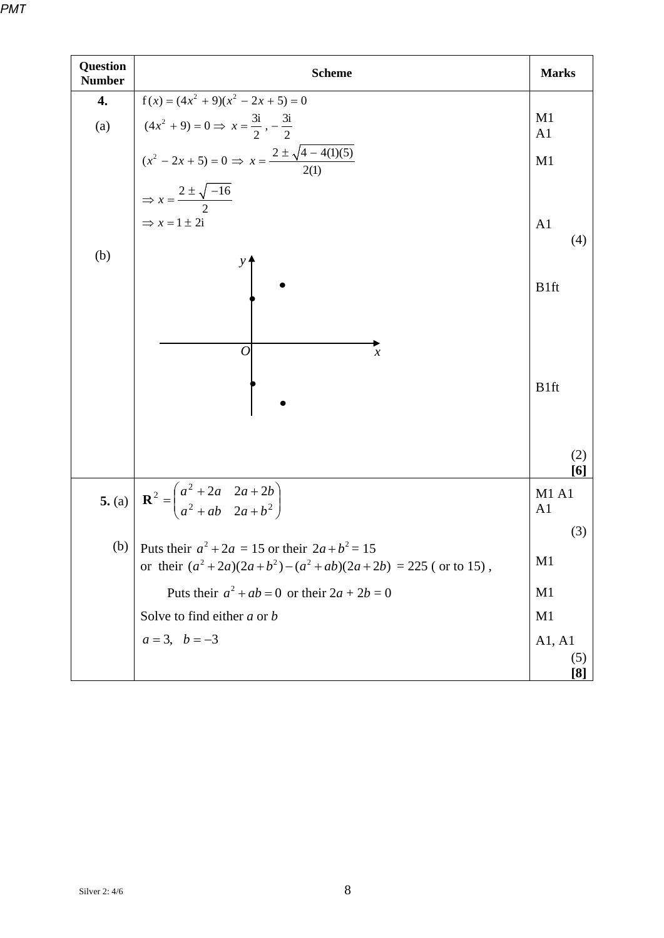| <b>Question</b><br><b>Number</b> | <b>Scheme</b>                                                                                                                                                                                                          | <b>Marks</b>                   |
|----------------------------------|------------------------------------------------------------------------------------------------------------------------------------------------------------------------------------------------------------------------|--------------------------------|
| 4.                               | $f(x) = (4x2 + 9)(x2 - 2x + 5) = 0$                                                                                                                                                                                    |                                |
| (a)                              |                                                                                                                                                                                                                        | M1                             |
|                                  | $(4x2 + 9) = 0 \Rightarrow x = \frac{3i}{2}, -\frac{3i}{2}$<br>$(x2 - 2x + 5) = 0 \Rightarrow x = \frac{2 \pm \sqrt{4 - 4(1)(5)}}{2(1)}$<br>$\Rightarrow x = \frac{2 \pm \sqrt{-16}}{2}$<br>$\Rightarrow x = 1 \pm 2i$ | A <sub>1</sub><br>M1           |
|                                  |                                                                                                                                                                                                                        |                                |
|                                  |                                                                                                                                                                                                                        | A <sub>1</sub><br>(4)          |
| (b)                              |                                                                                                                                                                                                                        | B1ft                           |
|                                  | 0<br>$\boldsymbol{\chi}$                                                                                                                                                                                               | B <sub>1ft</sub>               |
|                                  |                                                                                                                                                                                                                        | (2)<br>[6]                     |
|                                  | 5. (a) $\mathbf{R}^2 = \begin{pmatrix} a^2 + 2a & 2a + 2b \\ a^2 + ab & 2a + b^2 \end{pmatrix}$                                                                                                                        | <b>M1 A1</b><br>A <sub>1</sub> |
|                                  | (b) Puts their $a^2 + 2a = 15$ or their $2a + b^2 = 15$<br>or their $(a^2+2a)(2a+b^2)-(a^2+ab)(2a+2b) = 225$ (or to 15),                                                                                               | (3)<br>M <sub>1</sub>          |
|                                  | Puts their $a^2 + ab = 0$ or their $2a + 2b = 0$                                                                                                                                                                       | M <sub>1</sub>                 |
|                                  | Solve to find either $a$ or $b$                                                                                                                                                                                        | M <sub>1</sub>                 |
|                                  | $a = 3, b = -3$                                                                                                                                                                                                        | A1, A1                         |
|                                  |                                                                                                                                                                                                                        | (5)                            |
|                                  |                                                                                                                                                                                                                        | [8]                            |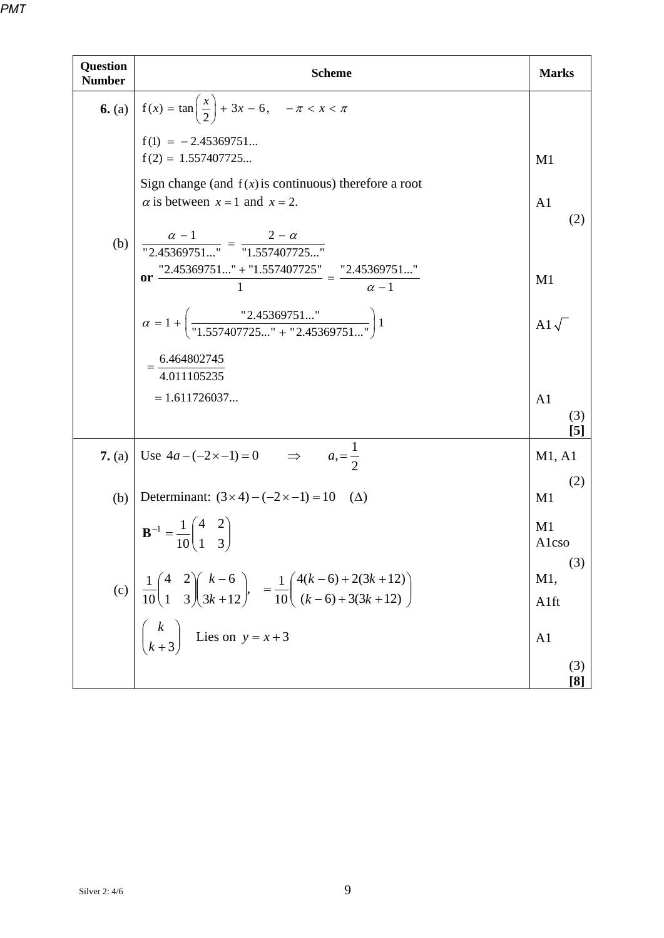| <b>Question</b><br><b>Number</b> | <b>Scheme</b>                                                                                                                                                                                                                                                   | <b>Marks</b>                 |
|----------------------------------|-----------------------------------------------------------------------------------------------------------------------------------------------------------------------------------------------------------------------------------------------------------------|------------------------------|
|                                  | <b>6.</b> (a) $f(x) = \tan\left(\frac{x}{2}\right) + 3x - 6, \quad -\pi < x < \pi$                                                                                                                                                                              |                              |
|                                  | $f(1) = -2.45369751$<br>$f(2) = 1.557407725$                                                                                                                                                                                                                    | M <sub>1</sub>               |
|                                  | Sign change (and $f(x)$ is continuous) therefore a root<br>$\alpha$ is between $x = 1$ and $x = 2$ .                                                                                                                                                            | A <sub>1</sub><br>(2)        |
| (b)                              | $\frac{\alpha - 1}{2.45369751} = \frac{2 - \alpha}{1.557407725}$<br>or $\frac{12.45369751+1.557407725}{1} = \frac{12.45369751}{\alpha-1}$                                                                                                                       | M1                           |
|                                  | $\alpha = 1 + \left( \frac{2.45369751}{1.557407725" + "2.45369751"} \right) 1$                                                                                                                                                                                  | A1 $\sqrt{}$                 |
|                                  | $=\frac{6.464802745}{4.011105235}$                                                                                                                                                                                                                              |                              |
|                                  | $= 1.611726037$                                                                                                                                                                                                                                                 | A <sub>1</sub><br>(3)<br>[5] |
| 7. (a)                           | Use $4a - (-2 \times -1) = 0$ $\implies$ $a_1 = \frac{1}{2}$                                                                                                                                                                                                    | M1, A1                       |
| (b)                              | Determinant: $(3 \times 4) - (-2 \times -1) = 10$ ( $\triangle$ )                                                                                                                                                                                               | (2)<br>M1                    |
|                                  | $\mathbf{B}^{-1} = \frac{1}{10} \begin{pmatrix} 4 & 2 \\ 1 & 3 \end{pmatrix}$                                                                                                                                                                                   | M1<br>Alcso<br>(3)           |
|                                  | (c) $\frac{1}{10} \begin{pmatrix} 4 & 2 \\ 1 & 3 \end{pmatrix} \begin{pmatrix} k-6 \\ 3k+12 \end{pmatrix}$ , $= \frac{1}{10} \begin{pmatrix} 4(k-6) + 2(3k+12) \\ (k-6) + 3(3k+12) \end{pmatrix}$<br>$\begin{pmatrix} k \\ k+3 \end{pmatrix}$ Lies on $y = x+3$ | M1,<br>Alft                  |
|                                  |                                                                                                                                                                                                                                                                 | A <sub>1</sub>               |
|                                  |                                                                                                                                                                                                                                                                 | (3)<br>[8]                   |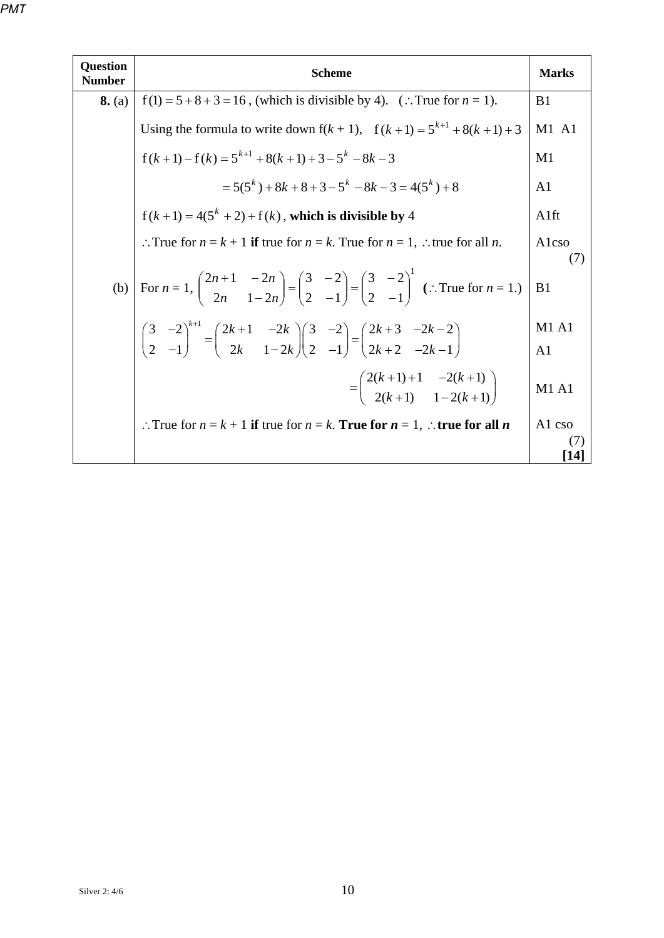| <b>Question</b><br><b>Number</b> | <b>Scheme</b>                                                                                                                                                                                                              | <b>Marks</b>     |  |  |  |  |  |
|----------------------------------|----------------------------------------------------------------------------------------------------------------------------------------------------------------------------------------------------------------------------|------------------|--|--|--|--|--|
| 8. (a)                           | $f(1) = 5 + 8 + 3 = 16$ , (which is divisible by 4). (: True for $n = 1$ ).                                                                                                                                                | B <sub>1</sub>   |  |  |  |  |  |
|                                  | Using the formula to write down $f(k + 1)$ , $f(k + 1) = 5^{k+1} + 8(k + 1) + 3$                                                                                                                                           | $M1$ A1          |  |  |  |  |  |
|                                  | $f(k+1)-f(k) = 5^{k+1} + 8(k+1) + 3 - 5^{k} - 8k - 3$                                                                                                                                                                      | M1               |  |  |  |  |  |
|                                  | $=5(5^{k})+8k+8+3-5^{k}-8k-3=4(5^{k})+8$                                                                                                                                                                                   | A <sub>1</sub>   |  |  |  |  |  |
|                                  | $f(k+1) = 4(5^{k} + 2) + f(k)$ , which is divisible by 4<br>A <sub>1ft</sub>                                                                                                                                               |                  |  |  |  |  |  |
|                                  | :. True for $n = k + 1$ if true for $n = k$ . True for $n = 1$ , :. true for all n.                                                                                                                                        | Alcso            |  |  |  |  |  |
|                                  | (b) $\left[\text{For } n=1, \begin{pmatrix} 2n+1 & -2n \\ 2n & 1-2n \end{pmatrix}\right] = \begin{pmatrix} 3 & -2 \\ 2 & -1 \end{pmatrix} = \begin{pmatrix} 3 & -2 \\ 2 & -1 \end{pmatrix}^1$ (:. True for $n = 1$ .)      | (7)<br>B1        |  |  |  |  |  |
|                                  | $\begin{pmatrix} 3 & -2 \\ 2 & -1 \end{pmatrix}^{k+1} = \begin{pmatrix} 2k+1 & -2k \\ 2k & 1-2k \end{pmatrix} \begin{pmatrix} 3 & -2 \\ 2 & -1 \end{pmatrix} = \begin{pmatrix} 2k+3 & -2k-2 \\ 2k+2 & -2k-1 \end{pmatrix}$ | <b>M1 A1</b>     |  |  |  |  |  |
|                                  |                                                                                                                                                                                                                            | A <sub>1</sub>   |  |  |  |  |  |
|                                  | $=\left(\begin{array}{cc} 2(k+1)+1 & -2(k+1) \\ 2(k+1) & 1-2(k+1) \end{array}\right)$                                                                                                                                      | M1A1             |  |  |  |  |  |
|                                  | :. True for $n = k + 1$ if true for $n = k$ . True for $n = 1$ , :. true for all n                                                                                                                                         | A1 cso           |  |  |  |  |  |
|                                  |                                                                                                                                                                                                                            | (7)<br><b>14</b> |  |  |  |  |  |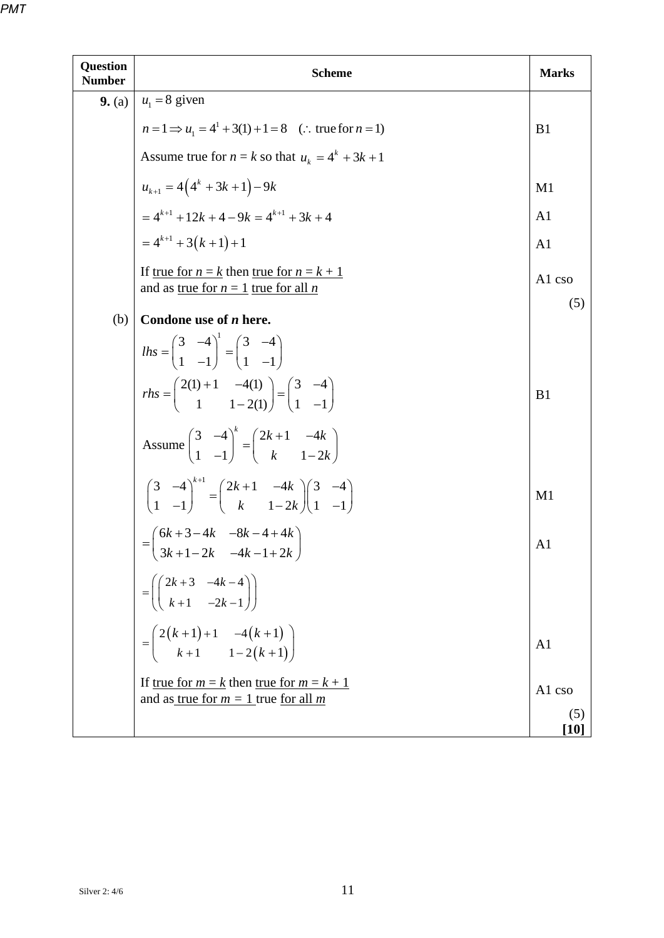| Question<br><b>Number</b> | <b>Scheme</b>                                                                                                                                                | <b>Marks</b>             |  |  |  |  |
|---------------------------|--------------------------------------------------------------------------------------------------------------------------------------------------------------|--------------------------|--|--|--|--|
| 9. (a)                    | $u_1 = 8$ given                                                                                                                                              |                          |  |  |  |  |
|                           | $n = 1 \implies u_1 = 4^1 + 3(1) + 1 = 8$ (: true for $n = 1$ )                                                                                              | B <sub>1</sub>           |  |  |  |  |
|                           | Assume true for $n = k$ so that $u_k = 4^k + 3k + 1$                                                                                                         |                          |  |  |  |  |
|                           | $u_{k+1} = 4(4^{k} + 3k + 1) - 9k$                                                                                                                           | M1                       |  |  |  |  |
|                           | $= 4^{k+1} + 12k + 4 - 9k = 4^{k+1} + 3k + 4$                                                                                                                | A <sub>1</sub>           |  |  |  |  |
|                           | $= 4^{k+1} + 3(k+1) + 1$                                                                                                                                     | A <sub>1</sub>           |  |  |  |  |
|                           | If <u>true for <math>n = k</math></u> then <u>true for <math>n = k + 1</math></u><br>A1 cso<br>and as <u>true</u> for $n = 1$ true for all <i>n</i>          |                          |  |  |  |  |
|                           |                                                                                                                                                              | (5)                      |  |  |  |  |
| (b)                       | Condone use of <i>n</i> here.                                                                                                                                |                          |  |  |  |  |
|                           | $lhs = \begin{pmatrix} 3 & -4 \\ 1 & -1 \end{pmatrix}^{1} = \begin{pmatrix} 3 & -4 \\ 1 & -1 \end{pmatrix}$                                                  |                          |  |  |  |  |
|                           | $rhs = \begin{pmatrix} 2(1) + 1 & -4(1) \\ 1 & 1 - 2(1) \end{pmatrix} = \begin{pmatrix} 3 & -4 \\ 1 & -1 \end{pmatrix}$                                      | B <sub>1</sub>           |  |  |  |  |
|                           | Assume $\begin{pmatrix} 3 & -4 \\ 1 & -1 \end{pmatrix}^{k} = \begin{pmatrix} 2k+1 & -4k \\ k & 1-2k \end{pmatrix}$                                           |                          |  |  |  |  |
|                           | $\begin{pmatrix} 3 & -4 \\ 1 & -1 \end{pmatrix}^{k+1} = \begin{pmatrix} 2k+1 & -4k \\ k & 1-2k \end{pmatrix} \begin{pmatrix} 3 & -4 \\ 1 & -1 \end{pmatrix}$ | M1                       |  |  |  |  |
|                           | $=\begin{pmatrix} 6k+3-4k & -8k-4+4k \\ 3k+1-2k & -4k-1+2k \end{pmatrix}$                                                                                    | A <sub>1</sub>           |  |  |  |  |
|                           | $=\left(\begin{pmatrix} 2k+3 & -4k-4 \\ k+1 & -2k-1 \end{pmatrix}\right)$                                                                                    |                          |  |  |  |  |
|                           | $= \begin{pmatrix} 2(k+1)+1 & -4(k+1) \\ k+1 & 1-2(k+1) \end{pmatrix}$                                                                                       | A <sub>1</sub>           |  |  |  |  |
|                           | If <u>true for <math>m = k</math></u> then <u>true for <math>m = k + 1</math></u><br>and as <u>true</u> for $m = 1$ true for all m                           | A1 cso                   |  |  |  |  |
|                           |                                                                                                                                                              | (5)<br>$\left[10\right]$ |  |  |  |  |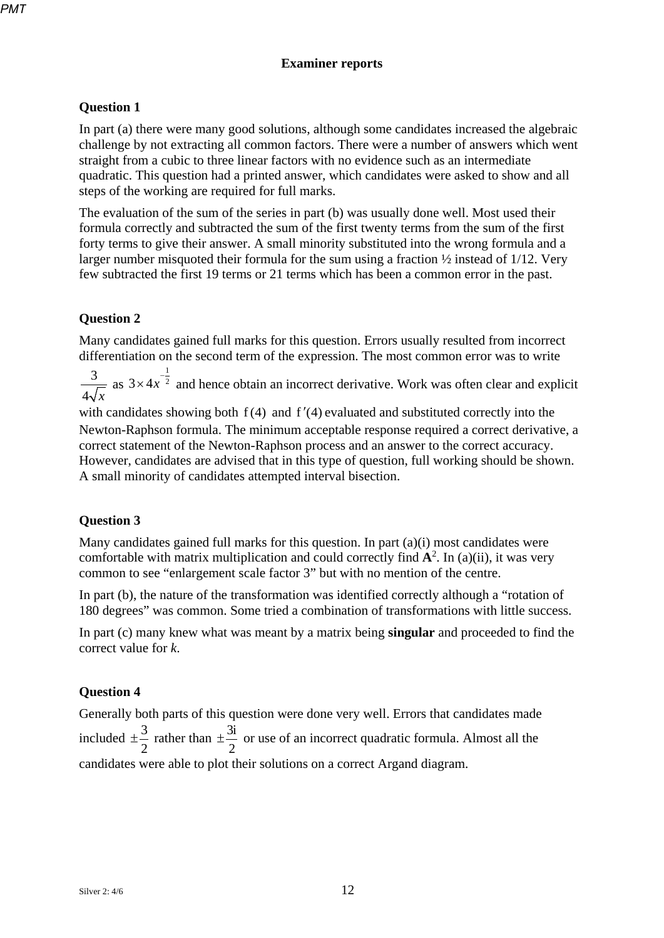### **Examiner reports**

### **Question 1**

In part (a) there were many good solutions, although some candidates increased the algebraic challenge by not extracting all common factors. There were a number of answers which went straight from a cubic to three linear factors with no evidence such as an intermediate quadratic. This question had a printed answer, which candidates were asked to show and all steps of the working are required for full marks.

The evaluation of the sum of the series in part (b) was usually done well. Most used their formula correctly and subtracted the sum of the first twenty terms from the sum of the first forty terms to give their answer. A small minority substituted into the wrong formula and a larger number misquoted their formula for the sum using a fraction ½ instead of 1/12. Very few subtracted the first 19 terms or 21 terms which has been a common error in the past.

# **Question 2**

Many candidates gained full marks for this question. Errors usually resulted from incorrect differentiation on the second term of the expression. The most common error was to write

3  $4\sqrt{x}$ as 1  $3 \times 4x^{-\frac{1}{2}}$  and hence obtain an incorrect derivative. Work was often clear and explicit

with candidates showing both  $f(4)$  and  $f'(4)$  evaluated and substituted correctly into the Newton-Raphson formula. The minimum acceptable response required a correct derivative, a correct statement of the Newton-Raphson process and an answer to the correct accuracy. However, candidates are advised that in this type of question, full working should be shown. A small minority of candidates attempted interval bisection.

# **Question 3**

Many candidates gained full marks for this question. In part (a)(i) most candidates were comfortable with matrix multiplication and could correctly find  $A^2$ . In (a)(ii), it was very common to see "enlargement scale factor 3" but with no mention of the centre.

In part (b), the nature of the transformation was identified correctly although a "rotation of 180 degrees" was common. Some tried a combination of transformations with little success.

In part (c) many knew what was meant by a matrix being **singular** and proceeded to find the correct value for *k*.

#### **Question 4**

Generally both parts of this question were done very well. Errors that candidates made included  $\pm \frac{3}{2}$ 2  $\pm \frac{3}{2}$  rather than  $\pm \frac{3i}{2}$ 2  $\pm \frac{5}{2}$  or use of an incorrect quadratic formula. Almost all the candidates were able to plot their solutions on a correct Argand diagram.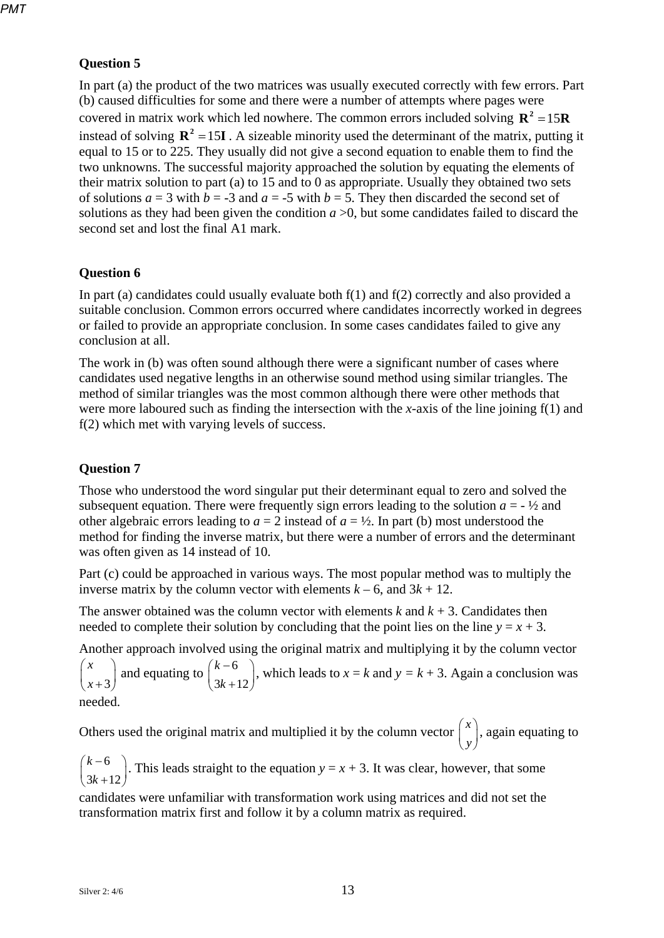# **Question 5**

In part (a) the product of the two matrices was usually executed correctly with few errors. Part (b) caused difficulties for some and there were a number of attempts where pages were covered in matrix work which led nowhere. The common errors included solving  $\mathbf{R}^2 = 15\mathbf{R}$ instead of solving  $\mathbb{R}^2 = 15\mathbb{I}$ . A sizeable minority used the determinant of the matrix, putting it equal to 15 or to 225. They usually did not give a second equation to enable them to find the two unknowns. The successful majority approached the solution by equating the elements of their matrix solution to part (a) to 15 and to 0 as appropriate. Usually they obtained two sets of solutions  $a = 3$  with  $b = -3$  and  $a = -5$  with  $b = 5$ . They then discarded the second set of solutions as they had been given the condition  $a > 0$ , but some candidates failed to discard the second set and lost the final A1 mark.

# **Question 6**

In part (a) candidates could usually evaluate both f(1) and f(2) correctly and also provided a suitable conclusion. Common errors occurred where candidates incorrectly worked in degrees or failed to provide an appropriate conclusion. In some cases candidates failed to give any conclusion at all.

The work in (b) was often sound although there were a significant number of cases where candidates used negative lengths in an otherwise sound method using similar triangles. The method of similar triangles was the most common although there were other methods that were more laboured such as finding the intersection with the *x*-axis of the line joining f(1) and f(2) which met with varying levels of success.

# **Question 7**

Those who understood the word singular put their determinant equal to zero and solved the subsequent equation. There were frequently sign errors leading to the solution  $a = -\frac{1}{2}$  and other algebraic errors leading to  $a = 2$  instead of  $a = \frac{1}{2}$ . In part (b) most understood the method for finding the inverse matrix, but there were a number of errors and the determinant was often given as 14 instead of 10.

Part (c) could be approached in various ways. The most popular method was to multiply the inverse matrix by the column vector with elements  $k - 6$ , and  $3k + 12$ .

The answer obtained was the column vector with elements  $k$  and  $k + 3$ . Candidates then needed to complete their solution by concluding that the point lies on the line  $y = x + 3$ .

Another approach involved using the original matrix and multiplying it by the column vector

3 *x*  $\begin{pmatrix} x \\ x+3 \end{pmatrix}$  and equating to  $\begin{pmatrix} k-6 \\ 3k+1 \end{pmatrix}$  $3k + 12$ *k*  $\binom{k-6}{3k+12}$ , which leads to *x* = *k* and *y* = *k* + 3. Again a conclusion was needed.

Others used the original matrix and multiplied it by the column vector  $\int_0^x$  $\begin{pmatrix} x \\ y \end{pmatrix}$ , again equating to

6  $3k + 12$ *k*  $\binom{k-6}{3k+12}$ . This leads straight to the equation *y* = *x* + 3. It was clear, however, that some

candidates were unfamiliar with transformation work using matrices and did not set the transformation matrix first and follow it by a column matrix as required.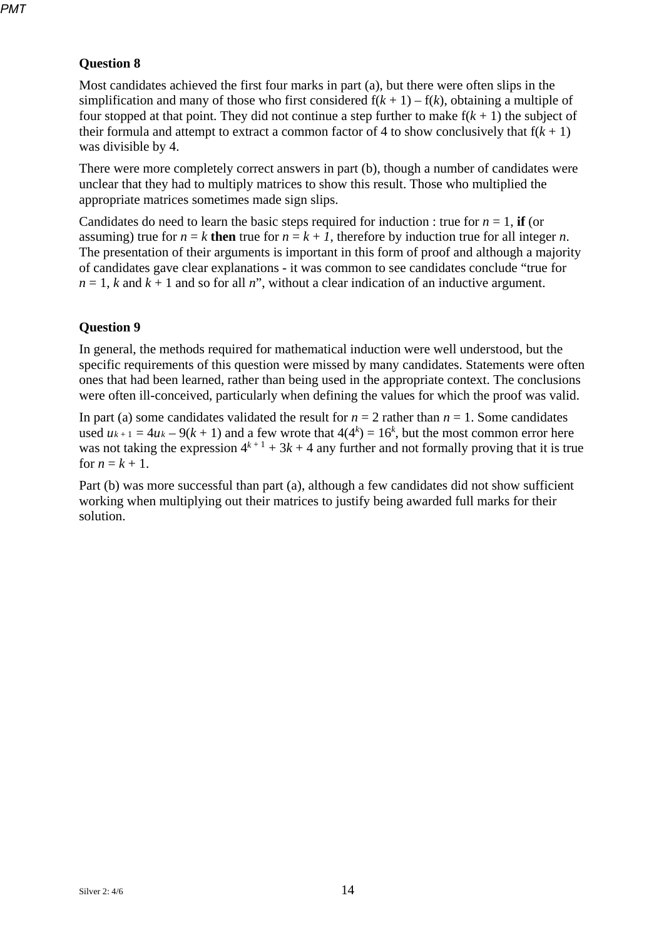# **Question 8**

Most candidates achieved the first four marks in part (a), but there were often slips in the simplification and many of those who first considered  $f(k + 1) - f(k)$ , obtaining a multiple of four stopped at that point. They did not continue a step further to make  $f(k + 1)$  the subject of their formula and attempt to extract a common factor of 4 to show conclusively that  $f(k + 1)$ was divisible by 4.

There were more completely correct answers in part (b), though a number of candidates were unclear that they had to multiply matrices to show this result. Those who multiplied the appropriate matrices sometimes made sign slips.

Candidates do need to learn the basic steps required for induction : true for  $n = 1$ , **if** (or assuming) true for  $n = k$  **then** true for  $n = k + 1$ , therefore by induction true for all integer *n*. The presentation of their arguments is important in this form of proof and although a majority of candidates gave clear explanations - it was common to see candidates conclude "true for  $n = 1$ , *k* and  $k + 1$  and so for all *n*", without a clear indication of an inductive argument.

## **Question 9**

In general, the methods required for mathematical induction were well understood, but the specific requirements of this question were missed by many candidates. Statements were often ones that had been learned, rather than being used in the appropriate context. The conclusions were often ill-conceived, particularly when defining the values for which the proof was valid.

In part (a) some candidates validated the result for  $n = 2$  rather than  $n = 1$ . Some candidates used  $u_{k+1} = 4u_k - 9(k+1)$  and a few wrote that  $4(4^k) = 16^k$ , but the most common error here was not taking the expression  $4^{k+1} + 3k + 4$  any further and not formally proving that it is true for  $n = k + 1$ .

Part (b) was more successful than part (a), although a few candidates did not show sufficient working when multiplying out their matrices to justify being awarded full marks for their solution.